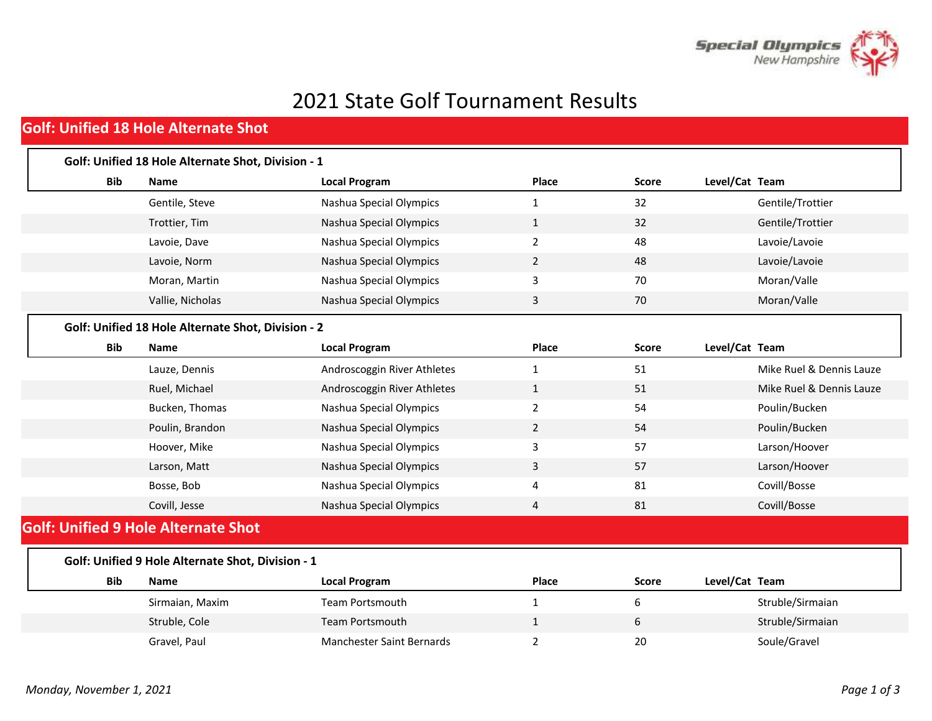

## 2021 State Golf Tournament Results

## **Golf: Unified 18 Hole Alternate Shot**

| <b>Bib</b> | Name                                               | <b>Local Program</b>             | Place          | <b>Score</b> | Level/Cat Team           |
|------------|----------------------------------------------------|----------------------------------|----------------|--------------|--------------------------|
|            |                                                    |                                  |                |              |                          |
|            | Gentile, Steve                                     | Nashua Special Olympics          | 1              | 32           | Gentile/Trottier         |
|            | Trottier, Tim                                      | Nashua Special Olympics          | $\mathbf{1}$   | 32           | Gentile/Trottier         |
|            | Lavoie, Dave                                       | Nashua Special Olympics          | $\overline{2}$ | 48           | Lavoie/Lavoie            |
|            | Lavoie, Norm                                       | Nashua Special Olympics          | $\overline{2}$ | 48           | Lavoie/Lavoie            |
|            | Moran, Martin                                      | Nashua Special Olympics          | 3              | 70           | Moran/Valle              |
|            | Vallie, Nicholas                                   | Nashua Special Olympics          | 3              | 70           | Moran/Valle              |
|            | Golf: Unified 18 Hole Alternate Shot, Division - 2 |                                  |                |              |                          |
| <b>Bib</b> | <b>Name</b>                                        | <b>Local Program</b>             | Place          | <b>Score</b> | Level/Cat Team           |
|            | Lauze, Dennis                                      | Androscoggin River Athletes      | 1              | 51           | Mike Ruel & Dennis Lauze |
|            | Ruel, Michael                                      | Androscoggin River Athletes      | $\mathbf{1}$   | 51           | Mike Ruel & Dennis Lauze |
|            | Bucken, Thomas                                     | Nashua Special Olympics          | $\overline{2}$ | 54           | Poulin/Bucken            |
|            | Poulin, Brandon                                    | Nashua Special Olympics          | $\overline{2}$ | 54           | Poulin/Bucken            |
|            | Hoover, Mike                                       | Nashua Special Olympics          | 3              | 57           | Larson/Hoover            |
|            | Larson, Matt                                       | Nashua Special Olympics          | 3              | 57           | Larson/Hoover            |
|            | Bosse, Bob                                         | Nashua Special Olympics          | 4              | 81           | Covill/Bosse             |
|            | Covill, Jesse                                      | Nashua Special Olympics          | 4              | 81           | Covill/Bosse             |
|            | <b>Golf: Unified 9 Hole Alternate Shot</b>         |                                  |                |              |                          |
|            | Golf: Unified 9 Hole Alternate Shot, Division - 1  |                                  |                |              |                          |
| <b>Bib</b> | <b>Name</b>                                        | <b>Local Program</b>             | Place          | <b>Score</b> | Level/Cat Team           |
|            | Sirmaian, Maxim                                    | <b>Team Portsmouth</b>           | $\mathbf{1}$   | 6            | Struble/Sirmaian         |
|            | Struble, Cole                                      | <b>Team Portsmouth</b>           | 1              | 6            | Struble/Sirmaian         |
|            | Gravel, Paul                                       | <b>Manchester Saint Bernards</b> | $\overline{2}$ | 20           | Soule/Gravel             |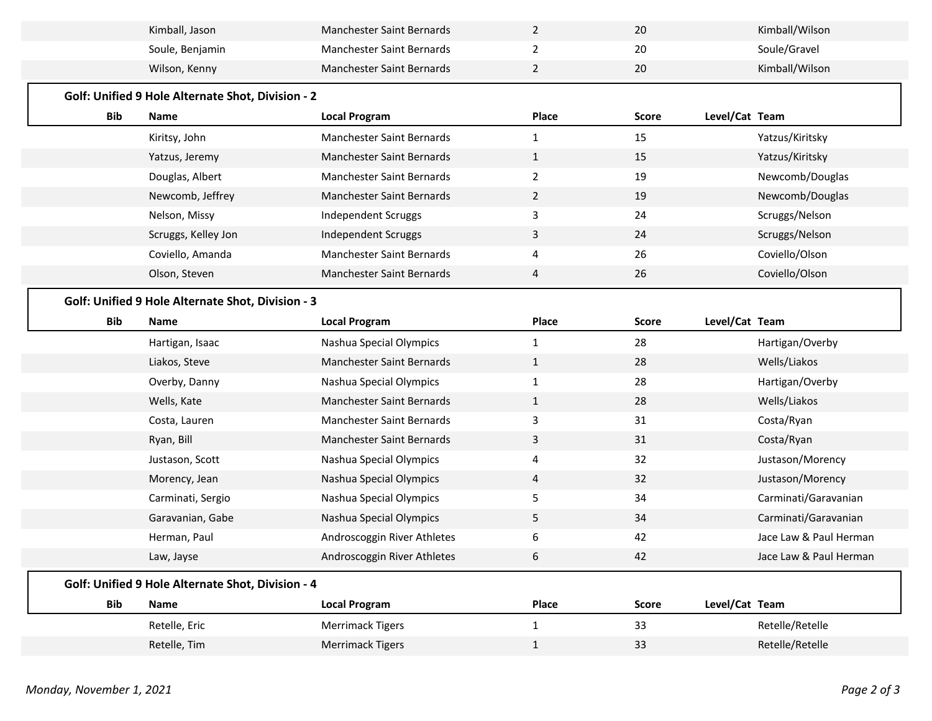|            | Kiritsy, John<br>Yatzus, Jeremy                   | Manchester Saint Bernards<br>Manchester Saint Bernards | $\mathbf{1}$<br>$\mathbf{1}$ | 15<br>15     |                | Yatzus/Kiritsky<br>Yatzus/Kiritsky |
|------------|---------------------------------------------------|--------------------------------------------------------|------------------------------|--------------|----------------|------------------------------------|
|            | Douglas, Albert                                   | Manchester Saint Bernards                              | $\overline{2}$               | 19           |                | Newcomb/Douglas                    |
|            | Newcomb, Jeffrey                                  | Manchester Saint Bernards                              | $\overline{2}$               | 19           |                | Newcomb/Douglas                    |
|            | Nelson, Missy                                     | Independent Scruggs                                    | 3                            | 24           |                | Scruggs/Nelson                     |
|            | Scruggs, Kelley Jon                               | Independent Scruggs                                    | 3                            | 24           |                | Scruggs/Nelson                     |
|            | Coviello, Amanda                                  | Manchester Saint Bernards                              | 4                            | 26           |                | Coviello/Olson                     |
|            | Olson, Steven                                     | Manchester Saint Bernards                              | 4                            | 26           |                | Coviello/Olson                     |
| <b>Bib</b> | <b>Name</b>                                       | <b>Local Program</b>                                   | Place                        | <b>Score</b> | Level/Cat Team |                                    |
|            | Golf: Unified 9 Hole Alternate Shot, Division - 3 |                                                        |                              |              |                |                                    |
|            | Hartigan, Isaac                                   | Nashua Special Olympics                                | $\mathbf{1}$                 | 28           |                | Hartigan/Overby                    |
|            | Liakos, Steve                                     | Manchester Saint Bernards                              | $\mathbf{1}$                 | 28           |                | Wells/Liakos                       |
|            |                                                   |                                                        |                              |              |                |                                    |
|            | Overby, Danny                                     | Nashua Special Olympics                                | $\mathbf{1}$                 | 28           |                | Hartigan/Overby                    |
|            | Wells, Kate                                       | Manchester Saint Bernards                              | $\mathbf{1}$                 | 28           |                | Wells/Liakos                       |
|            | Costa, Lauren                                     | Manchester Saint Bernards                              | 3                            | 31           |                | Costa/Ryan                         |
|            | Ryan, Bill                                        | Manchester Saint Bernards                              | 3                            | 31           |                | Costa/Ryan                         |
|            | Justason, Scott                                   | Nashua Special Olympics                                | 4                            | 32           |                | Justason/Morency                   |
|            | Morency, Jean                                     | Nashua Special Olympics                                | 4                            | 32           |                | Justason/Morency                   |
|            | Carminati, Sergio                                 | Nashua Special Olympics                                | 5                            | 34           |                | Carminati/Garavanian               |
|            | Garavanian, Gabe                                  | Nashua Special Olympics                                | 5                            | 34           |                | Carminati/Garavanian               |
|            | Herman, Paul                                      | Androscoggin River Athletes                            | 6                            | 42           |                | Jace Law & Paul Herman             |